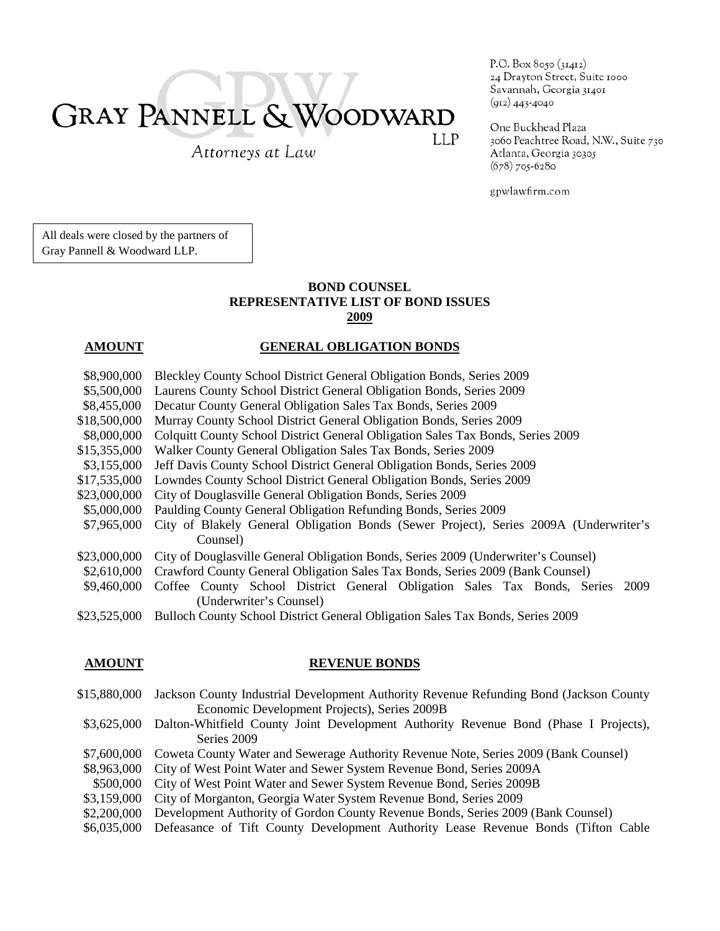# **GRAY PANNELL & WOODWARD LLP**

Attorneys at Law

P.O. Box 8050 (31412) 24 Drayton Street, Suite 1000 Savannah, Georgia 31401  $(912)$  443-4040

One Buckhead Plaza 3060 Peachtree Road, N.W., Suite 730 Atlanta, Georgia 30305  $(678)$  705-6280

gpwlawfirm.com

All deals were closed by the partners of Gray Pannell & Woodward LLP.

## **BOND COUNSEL REPRESENTATIVE LIST OF BOND ISSUES 2009**

## **AMOUNT GENERAL OBLIGATION BONDS**

- \$8,900,000 Bleckley County School District General Obligation Bonds, Series 2009
- \$5,500,000 Laurens County School District General Obligation Bonds, Series 2009
- \$8,455,000 Decatur County General Obligation Sales Tax Bonds, Series 2009
- \$18,500,000 Murray County School District General Obligation Bonds, Series 2009
- \$8,000,000 Colquitt County School District General Obligation Sales Tax Bonds, Series 2009
- \$15,355,000 Walker County General Obligation Sales Tax Bonds, Series 2009
- \$3,155,000 Jeff Davis County School District General Obligation Bonds, Series 2009
- \$17,535,000 Lowndes County School District General Obligation Bonds, Series 2009
- \$23,000,000 City of Douglasville General Obligation Bonds, Series 2009
- \$5,000,000 Paulding County General Obligation Refunding Bonds, Series 2009
- \$7,965,000 City of Blakely General Obligation Bonds (Sewer Project), Series 2009A (Underwriter's Counsel)
- \$23,000,000 City of Douglasville General Obligation Bonds, Series 2009 (Underwriter's Counsel)
- \$2,610,000 Crawford County General Obligation Sales Tax Bonds, Series 2009 (Bank Counsel)
- \$9,460,000 Coffee County School District General Obligation Sales Tax Bonds, Series 2009 (Underwriter's Counsel)
- \$23,525,000 Bulloch County School District General Obligation Sales Tax Bonds, Series 2009

## **AMOUNT REVENUE BONDS**

- \$15,880,000 Jackson County Industrial Development Authority Revenue Refunding Bond (Jackson County Economic Development Projects), Series 2009B
- \$3,625,000 Dalton-Whitfield County Joint Development Authority Revenue Bond (Phase I Projects), Series 2009
- \$7,600,000 Coweta County Water and Sewerage Authority Revenue Note, Series 2009 (Bank Counsel)
- \$8,963,000 City of West Point Water and Sewer System Revenue Bond, Series 2009A
- \$500,000 City of West Point Water and Sewer System Revenue Bond, Series 2009B
- \$3,159,000 City of Morganton, Georgia Water System Revenue Bond, Series 2009
- \$2,200,000 Development Authority of Gordon County Revenue Bonds, Series 2009 (Bank Counsel)
- \$6,035,000 Defeasance of Tift County Development Authority Lease Revenue Bonds (Tifton Cable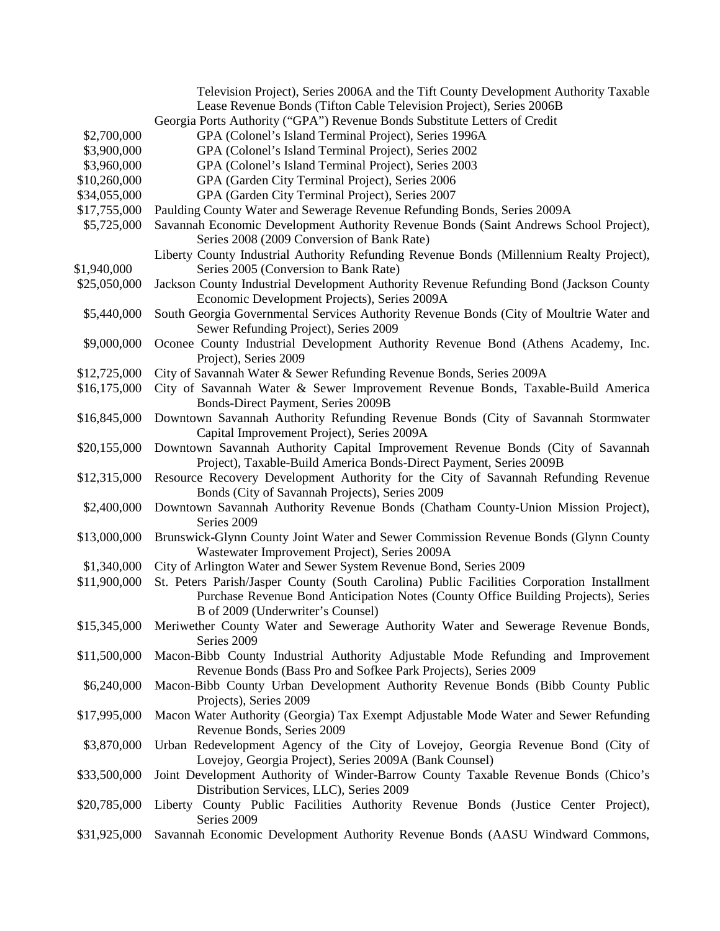|              | Television Project), Series 2006A and the Tift County Development Authority Taxable                                                    |
|--------------|----------------------------------------------------------------------------------------------------------------------------------------|
|              | Lease Revenue Bonds (Tifton Cable Television Project), Series 2006B                                                                    |
|              | Georgia Ports Authority ("GPA") Revenue Bonds Substitute Letters of Credit                                                             |
| \$2,700,000  | GPA (Colonel's Island Terminal Project), Series 1996A                                                                                  |
| \$3,900,000  | GPA (Colonel's Island Terminal Project), Series 2002                                                                                   |
| \$3,960,000  | GPA (Colonel's Island Terminal Project), Series 2003                                                                                   |
| \$10,260,000 | GPA (Garden City Terminal Project), Series 2006                                                                                        |
|              |                                                                                                                                        |
| \$34,055,000 | GPA (Garden City Terminal Project), Series 2007                                                                                        |
| \$17,755,000 | Paulding County Water and Sewerage Revenue Refunding Bonds, Series 2009A                                                               |
| \$5,725,000  | Savannah Economic Development Authority Revenue Bonds (Saint Andrews School Project),<br>Series 2008 (2009 Conversion of Bank Rate)    |
|              | Liberty County Industrial Authority Refunding Revenue Bonds (Millennium Realty Project),                                               |
| \$1,940,000  | Series 2005 (Conversion to Bank Rate)                                                                                                  |
| \$25,050,000 | Jackson County Industrial Development Authority Revenue Refunding Bond (Jackson County<br>Economic Development Projects), Series 2009A |
| \$5,440,000  | South Georgia Governmental Services Authority Revenue Bonds (City of Moultrie Water and                                                |
|              | Sewer Refunding Project), Series 2009                                                                                                  |
| \$9,000,000  | Oconee County Industrial Development Authority Revenue Bond (Athens Academy, Inc.<br>Project), Series 2009                             |
| \$12,725,000 | City of Savannah Water & Sewer Refunding Revenue Bonds, Series 2009A                                                                   |
| \$16,175,000 | City of Savannah Water & Sewer Improvement Revenue Bonds, Taxable-Build America                                                        |
|              | Bonds-Direct Payment, Series 2009B                                                                                                     |
| \$16,845,000 | Downtown Savannah Authority Refunding Revenue Bonds (City of Savannah Stormwater                                                       |
|              | Capital Improvement Project), Series 2009A                                                                                             |
| \$20,155,000 | Downtown Savannah Authority Capital Improvement Revenue Bonds (City of Savannah                                                        |
|              | Project), Taxable-Build America Bonds-Direct Payment, Series 2009B                                                                     |
| \$12,315,000 | Resource Recovery Development Authority for the City of Savannah Refunding Revenue                                                     |
|              | Bonds (City of Savannah Projects), Series 2009                                                                                         |
| \$2,400,000  | Downtown Savannah Authority Revenue Bonds (Chatham County-Union Mission Project),                                                      |
|              | Series 2009                                                                                                                            |
| \$13,000,000 | Brunswick-Glynn County Joint Water and Sewer Commission Revenue Bonds (Glynn County                                                    |
|              | Wastewater Improvement Project), Series 2009A                                                                                          |
| \$1,340,000  | City of Arlington Water and Sewer System Revenue Bond, Series 2009                                                                     |
| \$11,900,000 | St. Peters Parish/Jasper County (South Carolina) Public Facilities Corporation Installment                                             |
|              | Purchase Revenue Bond Anticipation Notes (County Office Building Projects), Series                                                     |
|              | B of 2009 (Underwriter's Counsel)                                                                                                      |
| \$15,345,000 | Meriwether County Water and Sewerage Authority Water and Sewerage Revenue Bonds,                                                       |
|              | Series 2009                                                                                                                            |
|              |                                                                                                                                        |
| \$11,500,000 | Macon-Bibb County Industrial Authority Adjustable Mode Refunding and Improvement                                                       |
|              | Revenue Bonds (Bass Pro and Sofkee Park Projects), Series 2009                                                                         |
| \$6,240,000  | Macon-Bibb County Urban Development Authority Revenue Bonds (Bibb County Public                                                        |
|              | Projects), Series 2009                                                                                                                 |
| \$17,995,000 | Macon Water Authority (Georgia) Tax Exempt Adjustable Mode Water and Sewer Refunding                                                   |
|              | Revenue Bonds, Series 2009                                                                                                             |
| \$3,870,000  | Urban Redevelopment Agency of the City of Lovejoy, Georgia Revenue Bond (City of                                                       |
|              | Lovejoy, Georgia Project), Series 2009A (Bank Counsel)                                                                                 |
|              |                                                                                                                                        |
| \$33,500,000 | Joint Development Authority of Winder-Barrow County Taxable Revenue Bonds (Chico's                                                     |
|              | Distribution Services, LLC), Series 2009                                                                                               |
| \$20,785,000 | Liberty County Public Facilities Authority Revenue Bonds (Justice Center Project),                                                     |
|              | Series 2009                                                                                                                            |
| \$31,925,000 | Savannah Economic Development Authority Revenue Bonds (AASU Windward Commons,                                                          |